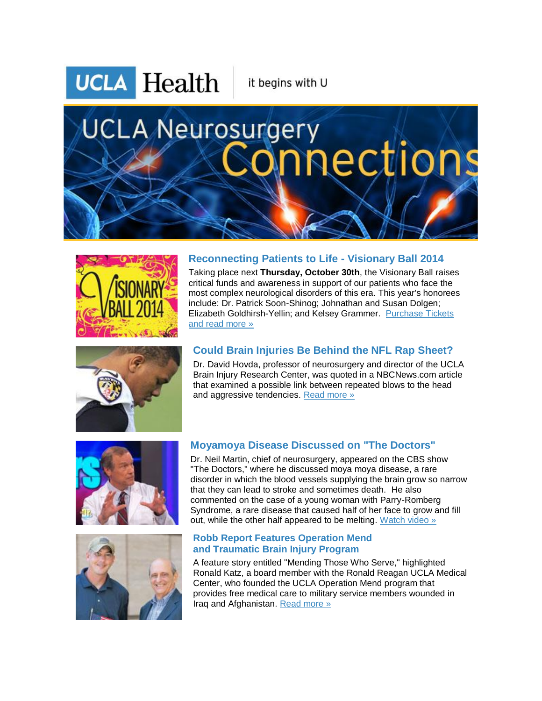**UCLA** Health

it begins with U

# **UCLA Neurosurgery nections**





### **Reconnecting Patients to Life - Visionary Ball 2014**

Taking place next **Thursday, October 30th**, the Visionary Ball raises critical funds and awareness in support of our patients who face the most complex neurological disorders of this era. This year's honorees include: Dr. Patrick Soon-Shinog; Johnathan and Susan Dolgen; Elizabeth Goldhirsh-Yellin; and Kelsey Grammer. [Purchase Tickets](http://r20.rs6.net/tn.jsp?f=0016Y3SyiTY3fwJxhrdL4J7uhZQ9EQPxD93XiT7TpfJ5BqE7d2fwGqLK2x1qh1mdyj9g73h-2EqZ9O0m5XtHqldjGyd4o-2i4p6T_4rfsKtePkg50VMEei-TM62YVosUI2oeuwhRysDDUmiuUUc0-wrhAa8EyHOpSTUind0ZdXsVmJ8zBaO_Y12MfMEF8k1iYQWkAvVn6xhIvX9-MV9CivtRPsTeLUvMrYWXZuU6qJxsLQpR85zD1qofz-1aNbqWVoKL8W6JnnFUlGrxrv7c1jOKg0LElW5oJcSRAWTlppxzEjxrYhOTAzi7csonn3Egu23h4wqUpht5AYm2fmhL-5mOuamdjQedjqFtlGcCBIoxjfCAJxlXcJ4I0Yd6KetcsVKPaHsntW4XFZOXyAsggnWDQ==&c=-NZFpr_ZCQilo5o8EnvTu_vdgYcN6fXRXZAvYM-E96Ghxg22iqc4Qg==&ch=RlXRZNAG6vEN_oEIaF71JZiaXed0ix1mTkpIbZ5ZFgfTMRAPRE1r4A==)  [and read more »](http://r20.rs6.net/tn.jsp?f=0016Y3SyiTY3fwJxhrdL4J7uhZQ9EQPxD93XiT7TpfJ5BqE7d2fwGqLK2x1qh1mdyj9g73h-2EqZ9O0m5XtHqldjGyd4o-2i4p6T_4rfsKtePkg50VMEei-TM62YVosUI2oeuwhRysDDUmiuUUc0-wrhAa8EyHOpSTUind0ZdXsVmJ8zBaO_Y12MfMEF8k1iYQWkAvVn6xhIvX9-MV9CivtRPsTeLUvMrYWXZuU6qJxsLQpR85zD1qofz-1aNbqWVoKL8W6JnnFUlGrxrv7c1jOKg0LElW5oJcSRAWTlppxzEjxrYhOTAzi7csonn3Egu23h4wqUpht5AYm2fmhL-5mOuamdjQedjqFtlGcCBIoxjfCAJxlXcJ4I0Yd6KetcsVKPaHsntW4XFZOXyAsggnWDQ==&c=-NZFpr_ZCQilo5o8EnvTu_vdgYcN6fXRXZAvYM-E96Ghxg22iqc4Qg==&ch=RlXRZNAG6vEN_oEIaF71JZiaXed0ix1mTkpIbZ5ZFgfTMRAPRE1r4A==)

# **Could Brain Injuries Be Behind the NFL Rap Sheet?**

Dr. David Hovda, professor of neurosurgery and director of the UCLA Brain Injury Research Center, was quoted in a NBCNews.com article that examined a possible link between repeated blows to the head and aggressive tendencies. [Read more »](http://r20.rs6.net/tn.jsp?f=0016Y3SyiTY3fwJxhrdL4J7uhZQ9EQPxD93XiT7TpfJ5BqE7d2fwGqLK2x1qh1mdyj9sd7lNV8P3GV8TJSESv8lfPezICdcHXHlMXgcMkWsaFrtZ5ARIyWkZOO3vCm4LV9iAieE2fWBtQylU2jfDvGuJ8PTX1wn11V_bQCfEjmZehzCqiLS2luT4517ZTg28AmxtB-ebnwzbe4MV7lx_x5AnZB34KmLYkNcXVZe0A9H6ZHH9ULNPyPHT3Pk2D58YwcR-Hj_KOEpSOlQM8-4fWlqvguQRf8SpfVpgV5ViHk1gXDIJmjBHTfvhZBlXYVsiz0hLhDeLRt13OV_iD5JED1JmSmusbUjzwdO0aXozwlr3mu45CHGnk2LlsND1QH7TuzCeaarfMbuUdV50ONVmkjWffkJqo5Hw8TjJaC8MrHKGVcdZ20l1R354jsCnPKOdRmJFeK2ob3Flm8=&c=-NZFpr_ZCQilo5o8EnvTu_vdgYcN6fXRXZAvYM-E96Ghxg22iqc4Qg==&ch=RlXRZNAG6vEN_oEIaF71JZiaXed0ix1mTkpIbZ5ZFgfTMRAPRE1r4A==)





## **Moyamoya Disease Discussed on "The Doctors"**

Dr. Neil Martin, chief of neurosurgery, appeared on the CBS show "The Doctors," where he discussed moya moya disease, a rare disorder in which the blood vessels supplying the brain grow so narrow that they can lead to stroke and sometimes death. He also commented on the case of a young woman with Parry-Romberg Syndrome, a rare disease that caused half of her face to grow and fill out, while the other half appeared to be melting. [Watch video »](http://r20.rs6.net/tn.jsp?f=0016Y3SyiTY3fwJxhrdL4J7uhZQ9EQPxD93XiT7TpfJ5BqE7d2fwGqLK2x1qh1mdyj9-M8Br7gu-6aVWUg3mFm4FAF3OIl9RoWA2egM5_3k921mCYESjiFEjWUyPWBWP4ao0iWTZbv1SHOg4r7RVhho_XmInu8aREY-KJD1F0qWq_BHZqT0aiZsmITgwfc3jbNeQMhStcVugoYV4Q6ZzVlHibqcOfVGBYJgsaLcuXVuX6SQmygXj7B1cteR5xVcBFmBh0z69kurfWdnCnLG76BCVYbj73vi7Eny3iJPx6AzTM6gU6EFEXRhUy4AYZqRC9bgd36XOwgnVlnXJuzzKX65PlHOsy6A1egZfYQ1tN0ALY0vFKTe1sRBuI8lRGLR-VFIP2-c49Taut6sJC4vOhyY1A==&c=-NZFpr_ZCQilo5o8EnvTu_vdgYcN6fXRXZAvYM-E96Ghxg22iqc4Qg==&ch=RlXRZNAG6vEN_oEIaF71JZiaXed0ix1mTkpIbZ5ZFgfTMRAPRE1r4A==) 

### **Robb Report Features Operation Mend and Traumatic Brain Injury Program**

A feature story entitled "Mending Those Who Serve," highlighted Ronald Katz, a board member with the Ronald Reagan UCLA Medical Center, who founded the UCLA Operation Mend program that provides free medical care to military service members wounded in Iraq and Afghanistan. [Read more »](http://r20.rs6.net/tn.jsp?f=0016Y3SyiTY3fwJxhrdL4J7uhZQ9EQPxD93XiT7TpfJ5BqE7d2fwGqLK2x1qh1mdyj9r8EGZZ9j5t2JF6NyNJ1wN_mqJEKXkVJ3GMQLcKSAOqlL5c5JnEsXa8xvqm96Aqg1rLQ4W6dQpmaJ3IRZSuqwYAQdSJhM4d4Z20Ye053YYP2drEVK2eMtupbWXHXke-Fr0QrVm3v9c7qw3isFRHKXTHEo85bH1FE2sjmGIUkBWyRhXKWysK5Yjxloiwvqc3Dz_hBd1mhGORaUmlLsmFkJDMebRyXPvYTmOKutg7PsD0HvPDzP9Km4xhmlexxs7xa8B7AgDFknP65Zwj74M5RionfMC18OH0ddKKBD4vmA1uunVxxktycIP7tVKZVsTryBCHBvXe-_TK0=&c=-NZFpr_ZCQilo5o8EnvTu_vdgYcN6fXRXZAvYM-E96Ghxg22iqc4Qg==&ch=RlXRZNAG6vEN_oEIaF71JZiaXed0ix1mTkpIbZ5ZFgfTMRAPRE1r4A==)